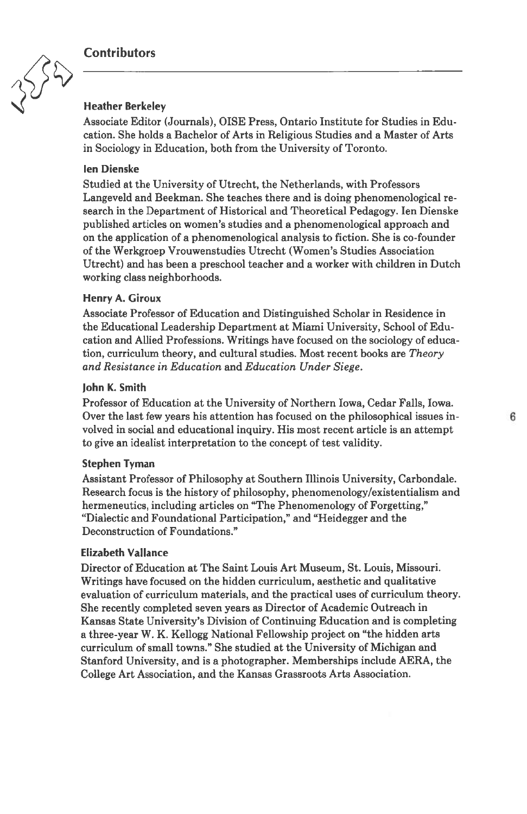## **Contributors**



# Heather Berkeley

Associate Editor (Journals), OISE Press, Ontario Institute for Studies in Edu cation. She holds <sup>a</sup> Bachelor of Arts in Religious Studies and <sup>a</sup> Master of Arts in Sociology in Education, both from the University of Toronto.

### len Dienske

Studied at the University of Utrecht, the Netherlands, with Professors Langeveld and Beekman. She teaches there and is doing phenomenological re search in the Department of Historical and Theoretical Pedagogy. len Dienske published articles on women's studies and <sup>a</sup> phenomenological approach and on the application of <sup>a</sup> phenomenological analysis to fiction. She is co-founder of the Werkgroep Vrouwenstudies Utrecht (Women's Studies Association Utrecht) and has been <sup>a</sup> preschool teacher and <sup>a</sup> worker with children in Dutch working class neighborhoods.

#### Henry A. Giroux

Associate Professor of Education and Distinguished Scholar in Residence in the Educational Leadership Department at Miami University, School of Edu cation and Allied Professions. Writings have focused on the sociology of educa tion, curriculum theory, and cultural studies. Most recent books are Theory and Resistance in Education and Education Under Siege.

#### John K. Smith

Professor of Education at the University of Northern Iowa, Cedar Falls, Iowa. Over the last few years his attention has focused on the philosophical issues in volved in social and educational inquiry. His most recent article is an attempt to give an idealist interpretation to the concept of test validity.

#### Stephen Tyman

Assistant Professor of Philosophy at Southern Illinois University, Carbondale. Research focus is the history of philosophy, phenomenology/existentialism and hermeneutics, including articles on "The Phenomenology of Forgetting," "Dialectic and Foundational Participation," and "Heidegger and the Deconstruction of Foundations."

## Elizabeth Valiance

Director of Education at The Saint Louis Art Museum, St. Louis, Missouri. Writings have focused on the hidden curriculum, aesthetic and qualitative evaluation of curriculum materials, and the practical uses of curriculum theory. She recently completed seven years as Director of Academic Outreach in Kansas State University's Division of Continuing Education and is completing <sup>a</sup> three-year W. K. Kellogg National Fellowship project on "the hidden arts curriculum of small towns." She studied at the University of Michigan and Stanford University, and is <sup>a</sup> photographer. Memberships include AERA, the College Art Association, and the Kansas Grassroots Arts Association.